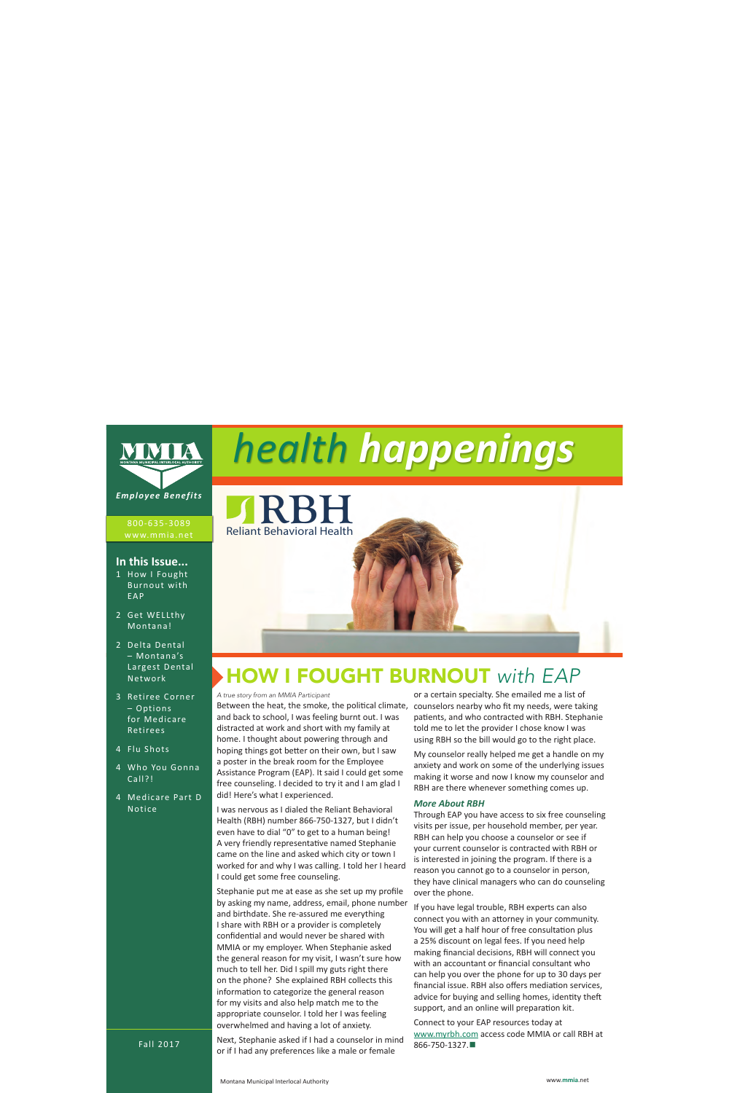

800-635-3089

### **In this Issue...**

- 1 How I Fought Burnout with EAP
- 2 Get WELLthy Montana!
- 2 Delta Dental – Montana's Largest Dental Network
- 3 Retiree Corner – Options for Medicare Retirees
- 4 Flu Shots
- 4 Who You Gonna Call?!
- 4 Medicare Part D Notice

# *health happenings*

Reliant Behavioral Health **RBH**

### HOW I FOUGHT BURNOUT *with EAP*

*A true story from an MMIA Participant*

Between the heat, the smoke, the political climate, and back to school, I was feeling burnt out. I was distracted at work and short with my family at home. I thought about powering through and hoping things got better on their own, but I saw a poster in the break room for the Employee Assistance Program (EAP). It said I could get some free counseling. I decided to try it and I am glad I did! Here's what I experienced.

I was nervous as I dialed the Reliant Behavioral Health (RBH) number 866-750-1327, but I didn't even have to dial "0" to get to a human being! A very friendly representative named Stephanie came on the line and asked which city or town I worked for and why I was calling. I told her I heard I could get some free counseling.

Stephanie put me at ease as she set up my profile by asking my name, address, email, phone number and birthdate. She re-assured me everything I share with RBH or a provider is completely confidential and would never be shared with MMIA or my employer. When Stephanie asked the general reason for my visit, I wasn't sure how much to tell her. Did I spill my guts right there on the phone? She explained RBH collects this information to categorize the general reason for my visits and also help match me to the appropriate counselor. I told her I was feeling overwhelmed and having a lot of anxiety.

Next, Stephanie asked if I had a counselor in mind or if I had any preferences like a male or female

or a certain specialty. She emailed me a list of counselors nearby who fit my needs, were taking patients, and who contracted with RBH. Stephanie told me to let the provider I chose know I was using RBH so the bill would go to the right place.

My counselor really helped me get a handle on my anxiety and work on some of the underlying issues making it worse and now I know my counselor and RBH are there whenever something comes up.

#### *More About RBH*

Through EAP you have access to six free counseling visits per issue, per household member, per year. RBH can help you choose a counselor or see if your current counselor is contracted with RBH or is interested in joining the program. If there is a reason you cannot go to a counselor in person, they have clinical managers who can do counseling over the phone.

If you have legal trouble, RBH experts can also connect you with an attorney in your community. You will get a half hour of free consultation plus a 25% discount on legal fees. If you need help making financial decisions, RBH will connect you with an accountant or financial consultant who can help you over the phone for up to 30 days per financial issue. RBH also offers mediation services, advice for buying and selling homes, identity theft support, and an online will preparation kit.

Connect to your EAP resources today at www.myrbh.com access code MMIA or call RBH at 866-750-1327.**■**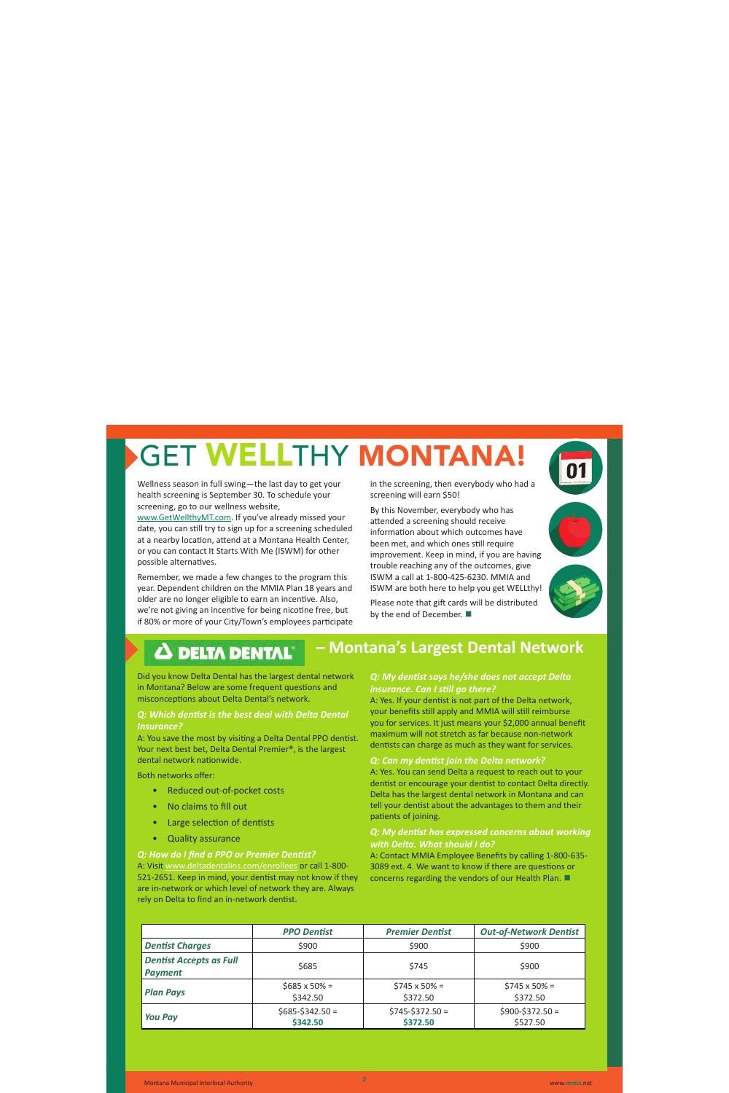## GET WELLTHY MONTANA!

Wellness season in full swing—the last day to get your health screening is September 30. To schedule your screening, go to our wellness website, www.GetWellthyMT.com. If you've already missed your date, you can still try to sign up for a screening scheduled at a nearby location, attend at a Montana Health Center, or you can contact It Starts With Me (ISWM) for other possible alternatives.

Remember, we made a few changes to the program this year. Dependent children on the MMIA Plan 18 years and older are no longer eligible to earn an incentive. Also, we're not giving an incentive for being nicotine free, but if 80% or more of your City/Town's employees participate in the screening, then everybody who had a screening will earn \$50!

By this November, everybody who has attended a screening should receive information about which outcomes have been met, and which ones still require improvement. Keep in mind, if you are having trouble reaching any of the outcomes, give ISWM a call at 1-800-425-6230. MMIA and ISWM are both here to help you get WELLthy!

Please note that gift cards will be distributed by the end of December. **■**

**– Montana's Largest Dental Network**



### **A DELTA DENTAL**

Did you know Delta Dental has the largest dental network in Montana? Below are some frequent questions and misconceptions about Delta Dental's network.

### *Q: Which dentist is the best deal with Delta Dental Insurance?*

A: You save the most by visiting a Delta Dental PPO dentist. Your next best bet, Delta Dental Premier®, is the largest dental network nationwide.

Both networks offer:

- Reduced out-of-pocket costs
- No claims to fill out
- Large selection of dentists
- Quality assurance

### *Q: How do I find a PPO or Premier Dentist?*

A: Visit www.deltadentalins.com/enrollees or call 1-800- 521-2651. Keep in mind, your dentist may not know if they are in-network or which level of network they are. Always rely on Delta to find an in-network dentist.

### *Q: My dentist says he/she does not accept Delta insurance. Can I still go there?*

A: Yes. If your dentist is not part of the Delta network, your benefits still apply and MMIA will still reimburse you for services. It just means your \$2,000 annual benefit maximum will not stretch as far because non-network dentists can charge as much as they want for services.

#### *Q: Can my dentist join the Delta network?*

A: Yes. You can send Delta a request to reach out to your dentist or encourage your dentist to contact Delta directly. Delta has the largest dental network in Montana and can tell your dentist about the advantages to them and their patients of joining.

### *Q: My dentist has expressed concerns about working with Delta. What should I do?*

A: Contact MMIA Employee Benefits by calling 1-800-635- 3089 ext. 4. We want to know if there are questions or concerns regarding the vendors of our Health Plan. **■**

|                                                  | <b>PPO Dentist</b>               | <b>Premier Dentist</b>           | <b>Out-of-Network Dentist</b>    |
|--------------------------------------------------|----------------------------------|----------------------------------|----------------------------------|
| <b>Dentist Charges</b>                           | \$900                            | \$900                            | \$900                            |
| <b>Dentist Accepts as Full</b><br><b>Payment</b> | \$685                            | \$745                            | \$900                            |
| <b>Plan Pays</b>                                 | $$685 \times 50\% =$<br>\$342.50 | $$745 \times 50\% =$<br>\$372.50 | $$745 \times 50\% =$<br>\$372.50 |
| <b>You Pay</b>                                   | $$685-$342.50 =$<br>\$342.50     | $$745-$372.50 =$<br>\$372.50     | $$900-$372.50 =$<br>\$527.50     |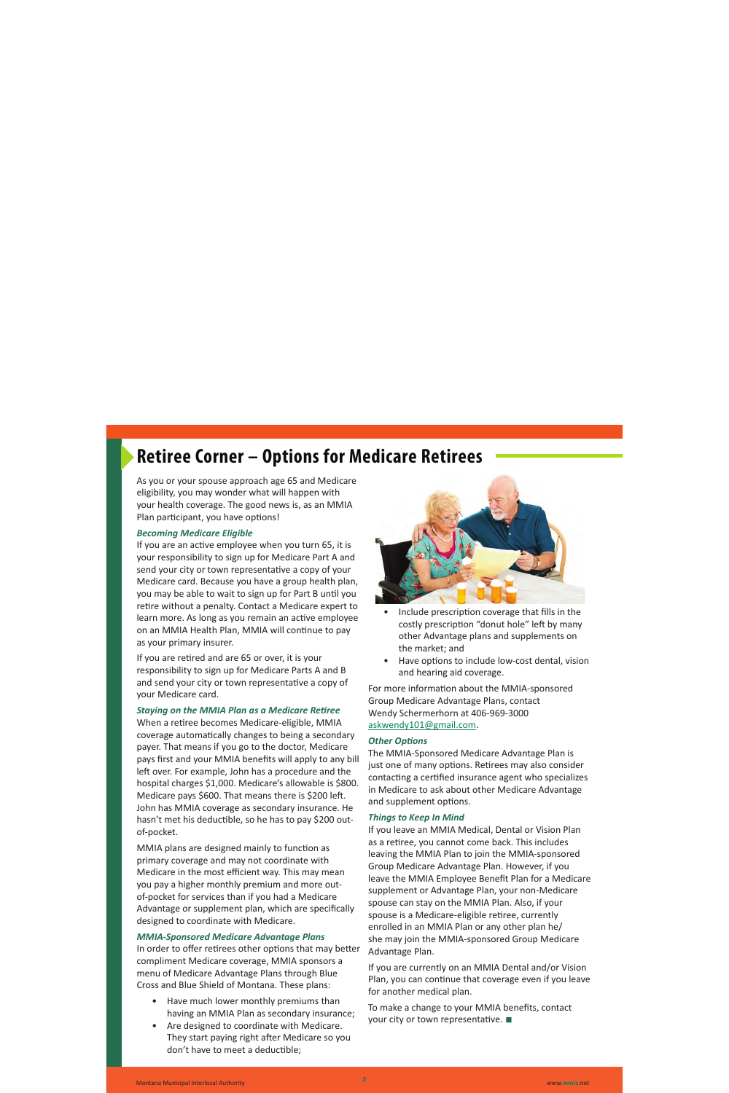### **Retiree Corner – Options for Medicare Retirees**

As you or your spouse approach age 65 and Medicare eligibility, you may wonder what will happen with your health coverage. The good news is, as an MMIA Plan participant, you have options!

### *Becoming Medicare Eligible*

If you are an active employee when you turn 65, it is your responsibility to sign up for Medicare Part A and send your city or town representative a copy of your Medicare card. Because you have a group health plan, you may be able to wait to sign up for Part B until you retire without a penalty. Contact a Medicare expert to learn more. As long as you remain an active employee on an MMIA Health Plan, MMIA will continue to pay as your primary insurer.

If you are retired and are 65 or over, it is your responsibility to sign up for Medicare Parts A and B and send your city or town representative a copy of your Medicare card.

### *Staying on the MMIA Plan as a Medicare Retiree*

When a retiree becomes Medicare-eligible, MMIA coverage automatically changes to being a secondary payer. That means if you go to the doctor, Medicare pays first and your MMIA benefits will apply to any bill left over. For example, John has a procedure and the hospital charges \$1,000. Medicare's allowable is \$800. Medicare pays \$600. That means there is \$200 left. John has MMIA coverage as secondary insurance. He hasn't met his deductible, so he has to pay \$200 outof-pocket.

MMIA plans are designed mainly to function as primary coverage and may not coordinate with Medicare in the most efficient way. This may mean you pay a higher monthly premium and more outof-pocket for services than if you had a Medicare Advantage or supplement plan, which are specifically designed to coordinate with Medicare.

### *MMIA-Sponsored Medicare Advantage Plans*

In order to offer retirees other options that may better compliment Medicare coverage, MMIA sponsors a menu of Medicare Advantage Plans through Blue Cross and Blue Shield of Montana. These plans:

- Have much lower monthly premiums than having an MMIA Plan as secondary insurance;
- Are designed to coordinate with Medicare. They start paying right after Medicare so you don't have to meet a deductible;



- Include prescription coverage that fills in the costly prescription "donut hole" left by many other Advantage plans and supplements on the market; and
- Have options to include low-cost dental, vision and hearing aid coverage.

For more information about the MMIA-sponsored Group Medicare Advantage Plans, contact Wendy Schermerhorn at 406-969-3000 askwendy101@gmail.com.

### *Other Options*

The MMIA-Sponsored Medicare Advantage Plan is just one of many options. Retirees may also consider contacting a certified insurance agent who specializes in Medicare to ask about other Medicare Advantage and supplement options.

#### *Things to Keep In Mind*

If you leave an MMIA Medical, Dental or Vision Plan as a retiree, you cannot come back. This includes leaving the MMIA Plan to join the MMIA-sponsored Group Medicare Advantage Plan. However, if you leave the MMIA Employee Benefit Plan for a Medicare supplement or Advantage Plan, your non-Medicare spouse can stay on the MMIA Plan. Also, if your spouse is a Medicare-eligible retiree, currently enrolled in an MMIA Plan or any other plan he/ she may join the MMIA-sponsored Group Medicare Advantage Plan.

If you are currently on an MMIA Dental and/or Vision Plan, you can continue that coverage even if you leave for another medical plan.

To make a change to your MMIA benefits, contact your city or town representative. **■**